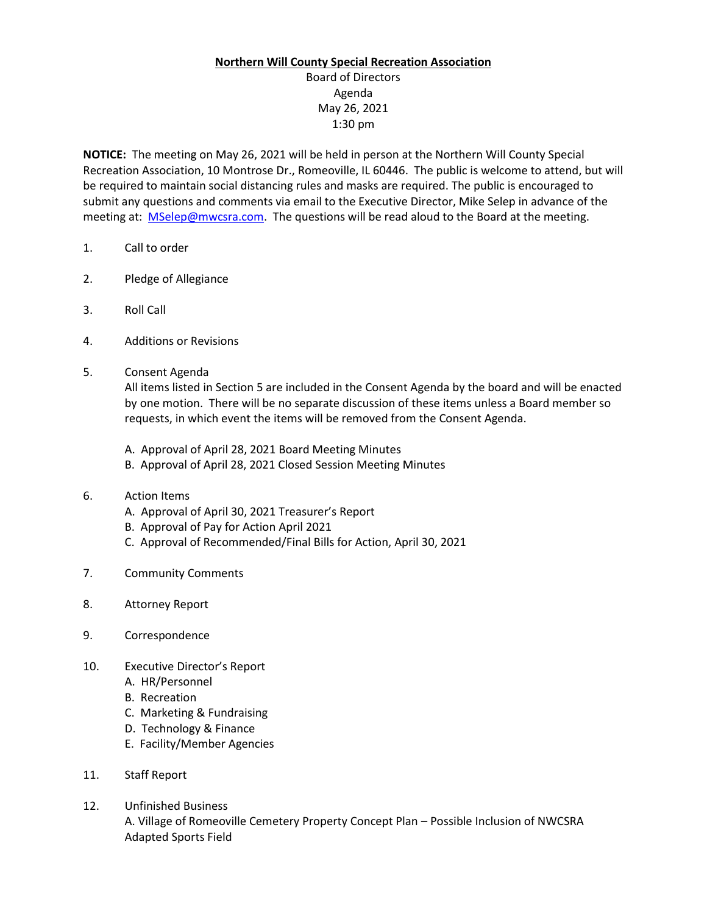## **Northern Will County Special Recreation Association**

Board of Directors Agenda May 26, 2021 1:30 pm

**NOTICE:** The meeting on May 26, 2021 will be held in person at the Northern Will County Special Recreation Association, 10 Montrose Dr., Romeoville, IL 60446. The public is welcome to attend, but will be required to maintain social distancing rules and masks are required. The public is encouraged to submit any questions and comments via email to the Executive Director, Mike Selep in advance of the meeting at: [MSelep@mwcsra.com.](mailto:MSelep@mwcsra.com) The questions will be read aloud to the Board at the meeting.

- 1. Call to order
- 2. Pledge of Allegiance
- 3. Roll Call
- 4. Additions or Revisions
- 5. Consent Agenda

All items listed in Section 5 are included in the Consent Agenda by the board and will be enacted by one motion. There will be no separate discussion of these items unless a Board member so requests, in which event the items will be removed from the Consent Agenda.

- A. Approval of April 28, 2021 Board Meeting Minutes
- B. Approval of April 28, 2021 Closed Session Meeting Minutes
- 6. Action Items
	- A. Approval of April 30, 2021 Treasurer's Report
	- B. Approval of Pay for Action April 2021
	- C. Approval of Recommended/Final Bills for Action, April 30, 2021
- 7. Community Comments
- 8. Attorney Report
- 9. Correspondence
- 10. Executive Director's Report
	- A. HR/Personnel
	- B. Recreation
	- C. Marketing & Fundraising
	- D. Technology & Finance
	- E. Facility/Member Agencies
- 11. Staff Report
- 12. Unfinished Business A. Village of Romeoville Cemetery Property Concept Plan – Possible Inclusion of NWCSRA Adapted Sports Field